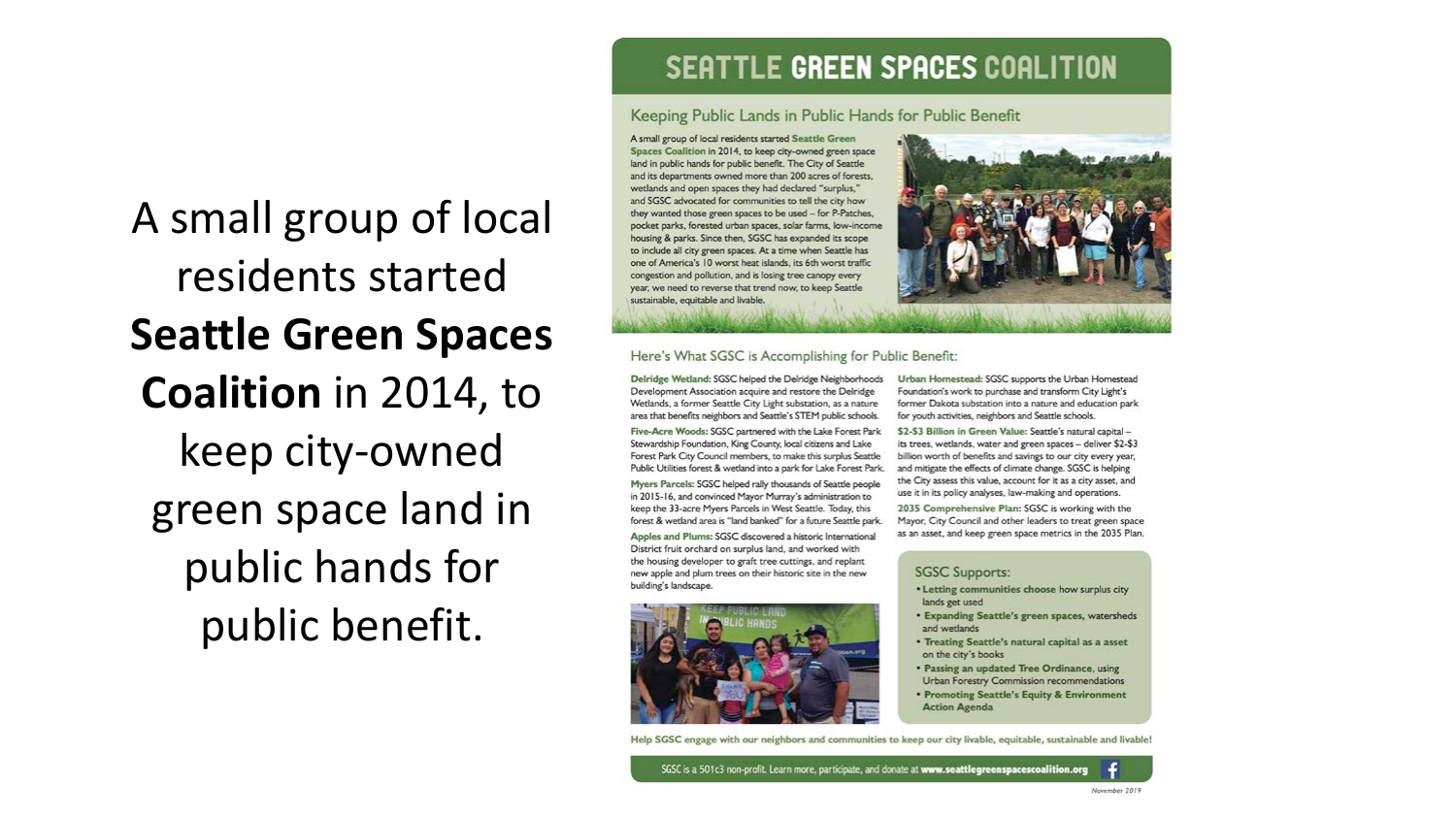#### SEATTLE GREEN SPACES COALITION

#### Keeping Public Lands in Public Hands for Public Benefit

Spaces Coalition in 2014, to keep city-owned green space land in public hands for public benefit. The City of Seattle and its departments owned more than 200 acres of forests, wetlands and open spaces they had declared "surplus." and SGSC advocated for communities to tell the city how they wanted those green spaces to be used - for P-Patches, pocket parks, forested urban spaces, solar farms, low-income housing & parks. Since then, SGSC has expanded its scope to include all city green spaces. At a time when Seattle has one of America's 10 worst heat islands, its 6th worst traffic congestion and pollution, and is losing tree canopy every year, we need to reverse that trend now, to keep Seattle sustainable, equitable and livable.



#### Here's What SGSC is Accomplishing for Public Benefit:

Delridge Wetland: SGSC helped the Delridge Neighborhoods Development Association acquire and restore the Delridge Wetlands, a former Seattle City Light substation, as a nature area that benefits neighbors and Seattle's STEM public schools.

A small group of local residents started Seattle Green

Five-Acre Woods: SGSC partnered with the Lake Forest Park Stewardship Foundation, King County, local citizens and Lake Forest Park City Council members, to make this surplus Seattle Public Utilities forest & wetland into a park for Lake Forest Park.

Myers Parcels: SGSC helped rally thousands of Seattle people in 2015-16, and convinced Mayor Murray's administration to keep the 33-acre Myers Parcels in West Seattle. Today, this forest & wetland area is "land banked" for a future Seattle park.

Apples and Plums: SGSC discovered a historic International District fruit orchard on surplus land, and worked with the housing developer to graft tree cuttings, and replant new apple and plum trees on their historic site in the new building's landscape.



Urban Homestead: SGSC supports the Urban Homestead Foundation's work to purchase and transform City Light's former Dakota substation into a nature and education park for youth activities, neighbors and Seattle schools.

\$2-\$3 Billion in Green Value: Seattle's natural capital its trees, wetlands, water and green spaces - deliver \$2-\$3 billion worth of benefits and savings to our city every year. and mitigate the effects of climate change. SGSC is helping the City assess this value, account for it as a city asset, and use it in its policy analyses, law-making and operations.

2035 Comprehensive Plan: SGSC is working with the Mayor, City Council and other leaders to treat green space as an asset, and keep green space metrics in the 2035 Plan.

#### **SGSC Supports:**

- . Letting communities choose how surplus city lands get used
- · Expanding Seattle's green spaces, watersheds and wetlands
- Treating Seattle's natural capital as a asset on the city's books
- . Passing an updated Tree Ordinance, using Urban Forestry Commission recommendations
- Promoting Seattle's Equity & Environment **Action Agenda**

Help SGSC engage with our neighbors and communities to keep our city livable, equitable, sustainable and livable!

SGSC is a 501c3 non-profit. Learn more, participate, and donate at www.seattlegreenspacescoalition.org



A small group of local residents started **Seattle Green Spaces Coalition** in 2014, to keep city-owned green space land in public hands for public benefit.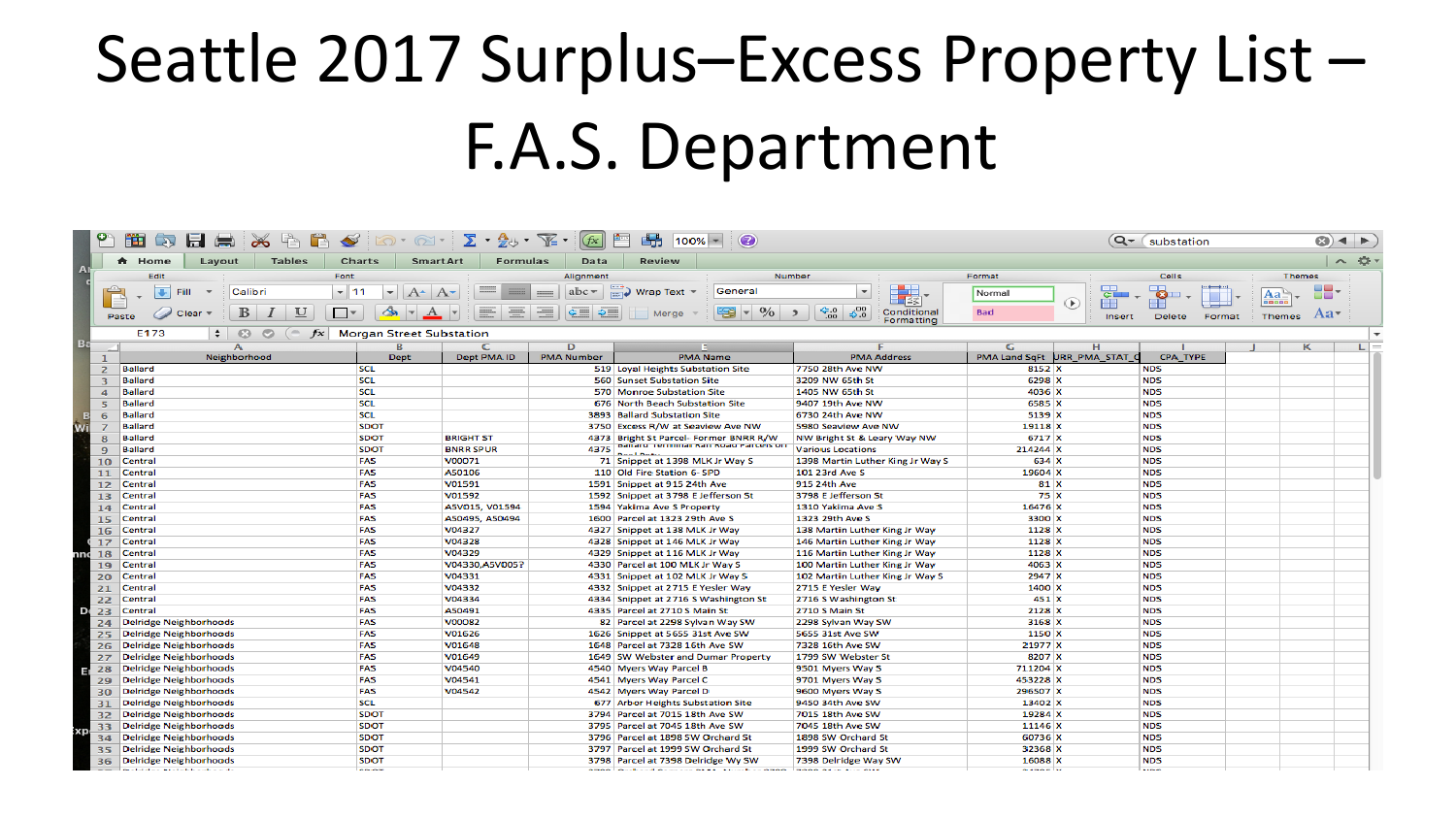## Seattle 2017 Surplus–Excess Property List – F.A.S. Department

|                | PS.<br>峰<br>н<br>m<br><b>SED</b><br>$\infty$                                                             |                                                                                                          |                                                                                                       | f(x)                                             | F<br>畾<br>$\odot$<br>$100% -$                                                                      |                                                                  |                                                     | Q- substation            |             | $\odot$ + $\triangleright$ |       |
|----------------|----------------------------------------------------------------------------------------------------------|----------------------------------------------------------------------------------------------------------|-------------------------------------------------------------------------------------------------------|--------------------------------------------------|----------------------------------------------------------------------------------------------------|------------------------------------------------------------------|-----------------------------------------------------|--------------------------|-------------|----------------------------|-------|
| $\overline{A}$ | <b>Tables</b><br>A Home<br>Layout                                                                        | Charts<br>SmartArt                                                                                       | <b>Formulas</b>                                                                                       | Data                                             | Review                                                                                             |                                                                  |                                                     |                          |             |                            | へ 章 - |
|                | Edit<br>Font                                                                                             |                                                                                                          |                                                                                                       | Alignment                                        |                                                                                                    | Number                                                           | Format                                              | Cells                    |             | <b>Themes</b>              |       |
|                | $\mathbf{F}$<br>$-11$<br>Fill<br>Calibri<br>B<br>$\cup$<br>$\Box$<br>$\overline{I}$<br>Clear $\tau$<br>İ | $\mathbf{v}$<br>$A^{\star}$ $A^{\star}$<br>$\left  \rightarrow \right $ + $\left  \rightarrow \right $ + | $\frac{1}{1000}$<br>$\frac{1}{\sqrt{1-\frac{1}{2}}}\left( \frac{1}{\sqrt{1-\frac{1}{2}}}\right) ^{2}$ | abc<br>$\frac{1}{2}$<br>$\frac{1}{2}$<br>$F = 2$ | General<br>$\Box$ Wrap Text $\sim$<br>$\frac{0}{0}$<br>42<br>$\vert \mathbf{v} \vert$<br>Merge $=$ | ⊞≦≶<br>5.000<br>$\frac{6.0}{00}$<br>Conditional<br>$\rightarrow$ | Normal<br>$\bigcirc$<br>EE<br><b>Bad</b>            | $\bullet$<br>ш<br>33     | Aa<br>88088 | oo.                        |       |
|                | Paste                                                                                                    | <b>Morgan Street Substation</b>                                                                          |                                                                                                       |                                                  |                                                                                                    | Formatting                                                       | <b>Insert</b>                                       | Delete<br>Format         |             | Themes Aa                  |       |
| B <sub>i</sub> | E173<br>$\div$ $\circ$<br>$\circ$<br>$\epsilon$<br>$f\mathbf{x}$                                         |                                                                                                          |                                                                                                       |                                                  |                                                                                                    | $\overline{\phantom{a}}$                                         |                                                     |                          |             |                            |       |
|                | $\mathbf{A}$<br>Neighborhood                                                                             | $\mathbf{B}$<br><b>Dept</b>                                                                              | Dept PMA ID                                                                                           | $\overline{D}$<br><b>PMA Number</b>              | <b>PMA Name</b>                                                                                    | <b>PMA Address</b>                                               | $\overline{G}$<br>H<br>PMA Land SqFt URR PMA STAT C | <b>CPA TYPE</b>          |             | $\kappa$                   | $L =$ |
|                | <b>Ballard</b><br>$\overline{z}$                                                                         | <b>SCL</b>                                                                                               |                                                                                                       |                                                  | 519 Loval Heights Substation Site                                                                  | 7750 28th Ave NW                                                 | 8152 X                                              | <b>NDS</b>               |             |                            |       |
|                | <b>Ballard</b><br>₹                                                                                      | SCL                                                                                                      |                                                                                                       |                                                  | 560 Sunset Substation Site                                                                         | 3209 NW 65th St                                                  | 6298 X                                              | <b>NDS</b>               |             |                            |       |
|                | <b>Ballard</b><br>$\Delta$                                                                               | <b>SCL</b>                                                                                               |                                                                                                       |                                                  | 570 Monroe Substation Site                                                                         | 1405 NW 65th St                                                  | 4036 X                                              | <b>NDS</b>               |             |                            |       |
|                | <b>Ballard</b><br>$\overline{\phantom{a}}$                                                               | <b>SCL</b>                                                                                               |                                                                                                       |                                                  | 676 North Beach Substation Site                                                                    | 9407 19th Ave NW                                                 | 6585 X                                              | <b>NDS</b>               |             |                            |       |
|                | <b>Ballard</b><br>6                                                                                      | <b>SCL</b>                                                                                               |                                                                                                       |                                                  | <b>3893 Ballard Substation Site</b>                                                                | 6730 24th Ave NW                                                 | 5139 X                                              | <b>NDS</b>               |             |                            |       |
| w              | <b>Ballard</b>                                                                                           | <b>SDOT</b>                                                                                              |                                                                                                       |                                                  | 3750 Excess R/W at Seaview Ave NW                                                                  | 5980 Seaview Ave NW                                              | 19118 X                                             | <b>NDS</b>               |             |                            |       |
|                | Ballard<br>R                                                                                             | <b>SDOT</b>                                                                                              | <b>BRIGHT ST</b>                                                                                      |                                                  | 4373 Bright St Parcel- Former BNRR R/W                                                             | NW Bright St & Leary Way NW                                      | 6717 X                                              | <b>NDS</b>               |             |                            |       |
|                | <b>Ballard</b><br>$\overline{Q}$                                                                         | <b>SDOT</b>                                                                                              | <b>BNRR SPUR</b>                                                                                      |                                                  | 4375 Dallaru Terminal Kall Koau Parcels on<br><b>Deal Date</b>                                     | <b>Various Locations</b>                                         | 214244 X                                            | <b>NDS</b>               |             |                            |       |
|                | Central<br>10                                                                                            | FAS                                                                                                      | V00071                                                                                                |                                                  | 71 Snippet at 1398 MLK Jr Way S                                                                    | 1398 Martin Luther King Jr Way S                                 | 634 X                                               | <b>NDS</b>               |             |                            |       |
|                | <b>Central</b><br>11                                                                                     | FAS                                                                                                      | A50106                                                                                                |                                                  | 110 Old Fire Station 6- SPD                                                                        | 101 23rd Ave S                                                   | 19604 X                                             | <b>NDS</b>               |             |                            |       |
|                | Central<br>12                                                                                            | FAS                                                                                                      | V01591                                                                                                |                                                  | 1591 Snippet at 915 24th Ave                                                                       | 915 24th Ave                                                     | 81 X                                                | <b>NDS</b>               |             |                            |       |
|                | <b>Central</b><br>13                                                                                     | FAS                                                                                                      | V01592                                                                                                |                                                  | 1592 Snippet at 3798 E Jefferson St                                                                | 3798 E Jefferson St                                              | 75 X                                                | <b>NDS</b>               |             |                            |       |
|                | Central<br>14                                                                                            | FAS                                                                                                      | A5V015, V01594                                                                                        |                                                  | 1594 Yakima Ave S Property                                                                         | 1310 Yakima Ave S                                                | 16476 X                                             | <b>NDS</b>               |             |                            |       |
|                | <b>Central</b><br>15                                                                                     | FAS                                                                                                      | A50495, A50494                                                                                        |                                                  | 1600 Parcel at 1323 29th Ave S                                                                     | 1323 29th Ave S                                                  | 3300 X                                              | <b>NDS</b>               |             |                            |       |
|                | Central<br>16                                                                                            | FAS                                                                                                      | V04327                                                                                                |                                                  | 4327 Snippet at 138 MLK Jr Way                                                                     | 138 Martin Luther King Jr Way                                    | 1128 X                                              | <b>NDS</b>               |             |                            |       |
|                | Central<br>17                                                                                            | FAS                                                                                                      | V04328                                                                                                |                                                  | 4328 Snippet at 146 MLK Jr Way                                                                     | 146 Martin Luther King Jr Way                                    | 1128 X                                              | <b>NDS</b>               |             |                            |       |
|                | <b>Central</b><br>18                                                                                     | FAS                                                                                                      | V04329                                                                                                |                                                  | 4329 Snippet at 116 MLK Jr Way                                                                     | 116 Martin Luther King Jr Way                                    | 1128 X                                              | <b>NDS</b>               |             |                            |       |
|                | <b>Central</b><br>19                                                                                     | FAS                                                                                                      | V04330,A5V005?                                                                                        |                                                  | 4330 Parcel at 100 MLK Jr Way S                                                                    | 100 Martin Luther King Jr Way                                    | 4063 X                                              | <b>NDS</b>               |             |                            |       |
|                | <b>Central</b><br>20                                                                                     | FAS                                                                                                      | V04331                                                                                                |                                                  | 4331 Snippet at 102 MLK Jr Way S                                                                   | 102 Martin Luther King Jr Way S                                  | 2947 X                                              | <b>NDS</b>               |             |                            |       |
|                | Central<br>21                                                                                            | FAS                                                                                                      | V04332                                                                                                |                                                  | 4332 Snippet at 2715 E Yesler Way                                                                  | 2715 E Yesler Way                                                | 1400 X                                              | <b>NDS</b>               |             |                            |       |
|                | Central<br>22                                                                                            | FAS                                                                                                      | V04334                                                                                                |                                                  | 4334 Snippet at 2716 S Washington St                                                               | 2716 S Washington St                                             | 451 X                                               | <b>NDS</b>               |             |                            |       |
| Ď              | 23<br>Central                                                                                            | FAS                                                                                                      | A50491                                                                                                |                                                  | 4335 Parcel at 2710 S Main St                                                                      | 2710 S Main St                                                   | 2128 X                                              | <b>NDS</b>               |             |                            |       |
|                | <b>Delridge Neighborhoods</b><br>24<br><b>Delridge Neighborhoods</b>                                     | FAS<br>FAS                                                                                               | V00082<br>V01626                                                                                      |                                                  | 82 Parcel at 2298 Sylvan Way SW<br>1626 Snippet at 5655 31st Ave SW                                | 2298 Sylvan Way SW<br>5655 31st Ave SW                           | 3168 X<br>1150 X                                    | <b>NDS</b><br><b>NDS</b> |             |                            |       |
|                | 25<br><b>Delridge Neighborhoods</b>                                                                      | FAS                                                                                                      | V01648                                                                                                |                                                  | 1648 Parcel at 7328 16th Ave SW                                                                    | 7328 16th Ave SW                                                 | 21977 X                                             | <b>NDS</b>               |             |                            |       |
|                | 26<br><b>Delridge Neighborhoods</b><br>27                                                                | FAS                                                                                                      | V01649                                                                                                |                                                  | 1649 SW Webster and Dumar Property                                                                 | 1799 SW Webster St                                               | 8207 X                                              | <b>NDS</b>               |             |                            |       |
|                | Delridge Neighborhoods<br>28                                                                             | FAS                                                                                                      | V04540                                                                                                |                                                  | 4540 Myers Way Parcel B                                                                            | 9501 Myers Way S                                                 | 711204 X                                            | <b>NDS</b>               |             |                            |       |
|                | <b>Delridge Neighborhoods</b><br>29                                                                      | FAS                                                                                                      | V04541                                                                                                |                                                  | 4541 Myers Way Parcel C                                                                            | 9701 Myers Way S                                                 | 453228 X                                            | <b>NDS</b>               |             |                            |       |
|                | <b>Delridge Neighborhoods</b><br>30                                                                      | FAS                                                                                                      | V04542                                                                                                |                                                  | 4542 Myers Way Parcel D                                                                            | 9600 Myers Way S                                                 | 296507 X                                            | <b>NDS</b>               |             |                            |       |
|                | <b>Delridge Neighborhoods</b><br>31                                                                      | <b>SCL</b>                                                                                               |                                                                                                       |                                                  | 677 Arbor Heights Substation Site                                                                  | 9450 34th Ave SW                                                 | 13402 X                                             | <b>NDS</b>               |             |                            |       |
|                | <b>Delridge Neighborhoods</b><br>32                                                                      | <b>SDOT</b>                                                                                              |                                                                                                       |                                                  | 3794 Parcel at 7015 18th Ave SW                                                                    | 7015 18th Ave SW                                                 | 19284 X                                             | <b>NDS</b>               |             |                            |       |
|                | <b>Delridge Neighborhoods</b><br>33                                                                      | <b>SDOT</b>                                                                                              |                                                                                                       |                                                  | 3795 Parcel at 7045 18th Ave SW                                                                    | 7045 18th Ave SW                                                 | 11146 X                                             | <b>NDS</b>               |             |                            |       |
| хc             | <b>Delridge Neighborhoods</b><br>34                                                                      | <b>SDOT</b>                                                                                              |                                                                                                       |                                                  | 3796 Parcel at 1898 SW Orchard St                                                                  | 1898 SW Orchard St                                               | 60736 X                                             | <b>NDS</b>               |             |                            |       |
|                | <b>Delridge Neighborhoods</b><br>35                                                                      | <b>SDOT</b>                                                                                              |                                                                                                       |                                                  | 3797 Parcel at 1999 SW Orchard St                                                                  | 1999 SW Orchard St                                               | 32368 X                                             | <b>NDS</b>               |             |                            |       |
|                | <b>Delridge Neighborhoods</b><br>36                                                                      | <b>SDOT</b>                                                                                              |                                                                                                       |                                                  | 3798 Parcel at 7398 Delridge Wy SW                                                                 | 7398 Delridge Way SW                                             | 16088 X                                             | <b>NDS</b>               |             |                            |       |
|                | because an extra construction                                                                            | $-$                                                                                                      |                                                                                                       |                                                  | STORE CULTURAL CONTRACT MULTING CORPORATION AND CHARGE                                             |                                                                  | <b>BAROLL</b>                                       | <b>STATISTICS</b>        |             |                            |       |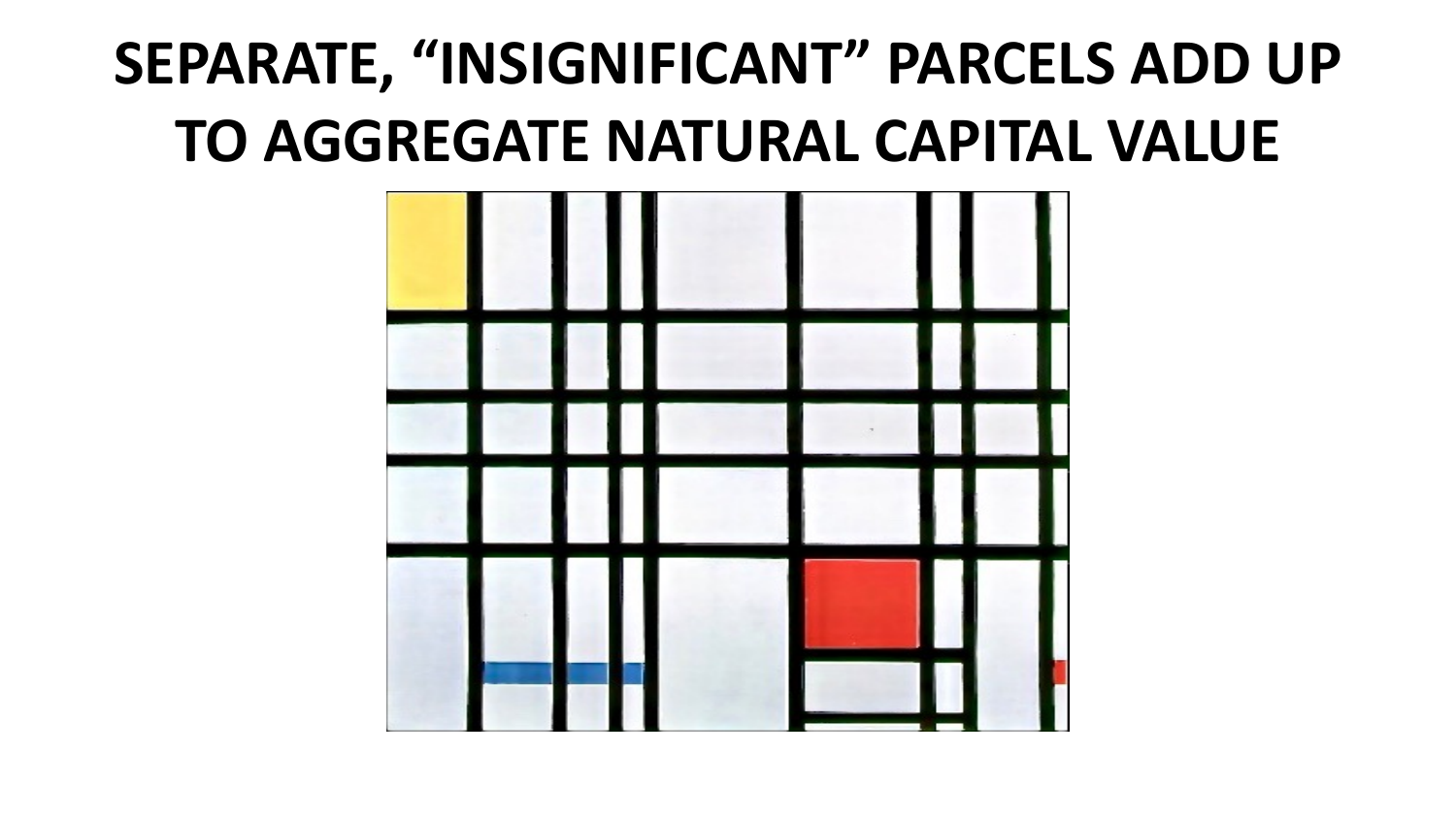## **SEPARATE, "INSIGNIFICANT" PARCELS ADD UP TO AGGREGATE NATURAL CAPITAL VALUE**

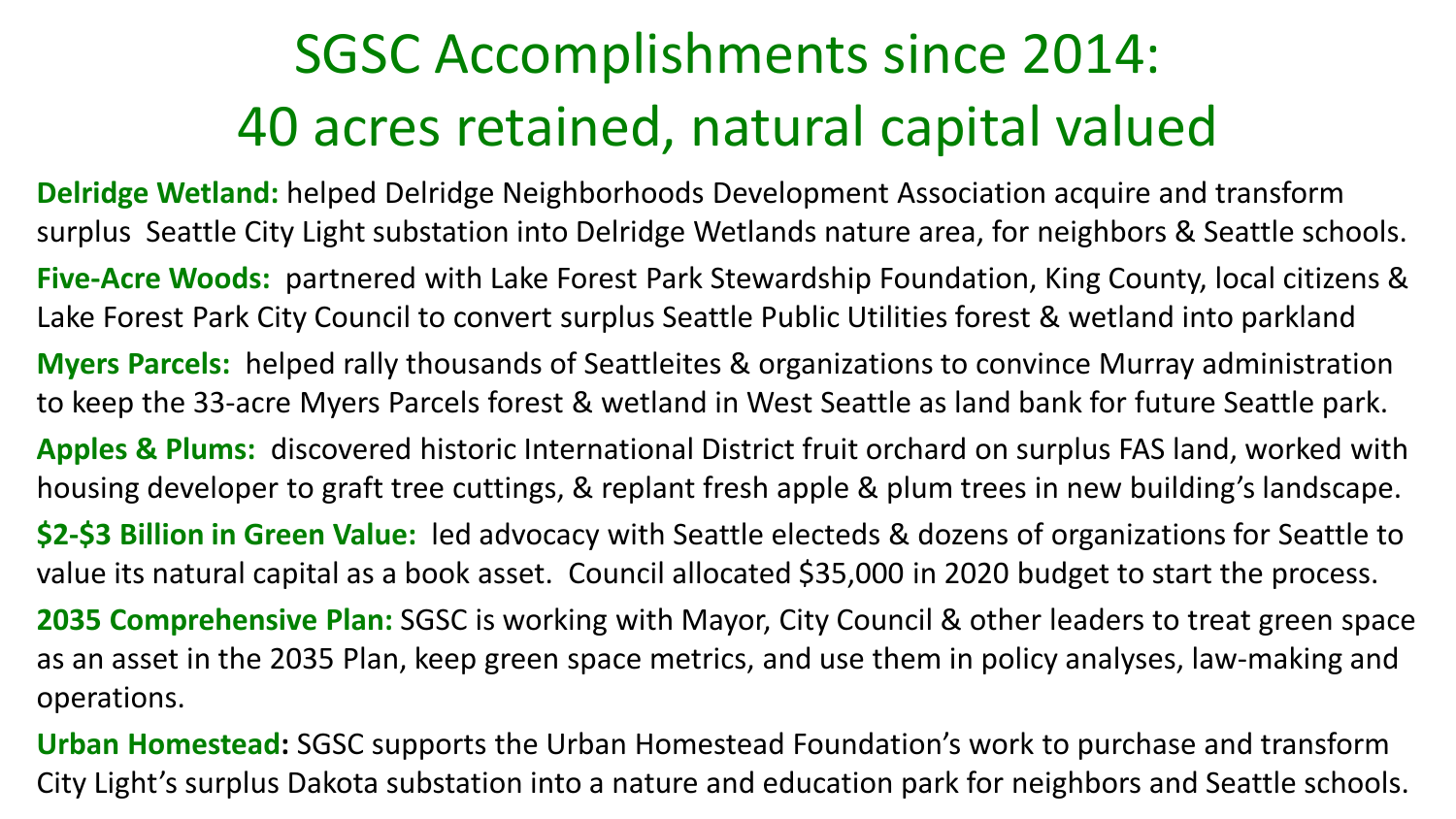## SGSC Accomplishments since 2014: 40 acres retained, natural capital valued

**Delridge Wetland:** helped Delridge Neighborhoods Development Association acquire and transform surplus Seattle City Light substation into Delridge Wetlands nature area, for neighbors & Seattle schools. **Five-Acre Woods:** partnered with Lake Forest Park Stewardship Foundation, King County, local citizens & Lake Forest Park City Council to convert surplus Seattle Public Utilities forest & wetland into parkland **Myers Parcels:** helped rally thousands of Seattleites & organizations to convince Murray administration to keep the 33-acre Myers Parcels forest & wetland in West Seattle as land bank for future Seattle park. **Apples & Plums:** discovered historic International District fruit orchard on surplus FAS land, worked with housing developer to graft tree cuttings, & replant fresh apple & plum trees in new building's landscape. **\$2-\$3 Billion in Green Value:** led advocacy with Seattle electeds & dozens of organizations for Seattle to value its natural capital as a book asset. Council allocated \$35,000 in 2020 budget to start the process. **2035 Comprehensive Plan:** SGSC is working with Mayor, City Council & other leaders to treat green space as an asset in the 2035 Plan, keep green space metrics, and use them in policy analyses, law-making and operations.

**Urban Homestead:** SGSC supports the Urban Homestead Foundation's work to purchase and transform City Light's surplus Dakota substation into a nature and education park for neighbors and Seattle schools.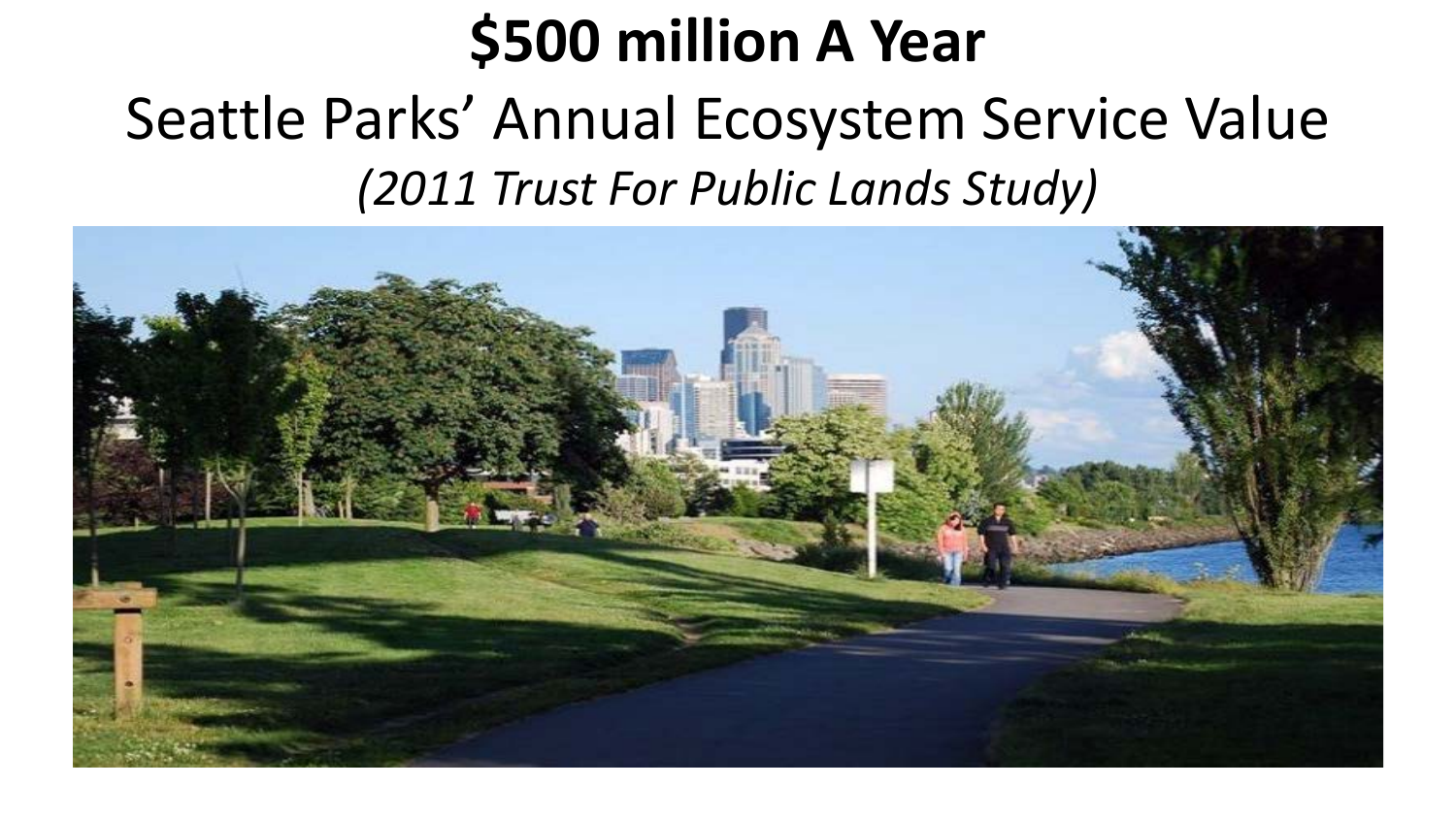## **\$500 million A Year**

#### Seattle Parks' Annual Ecosystem Service Value *(2011 Trust For Public Lands Study)*

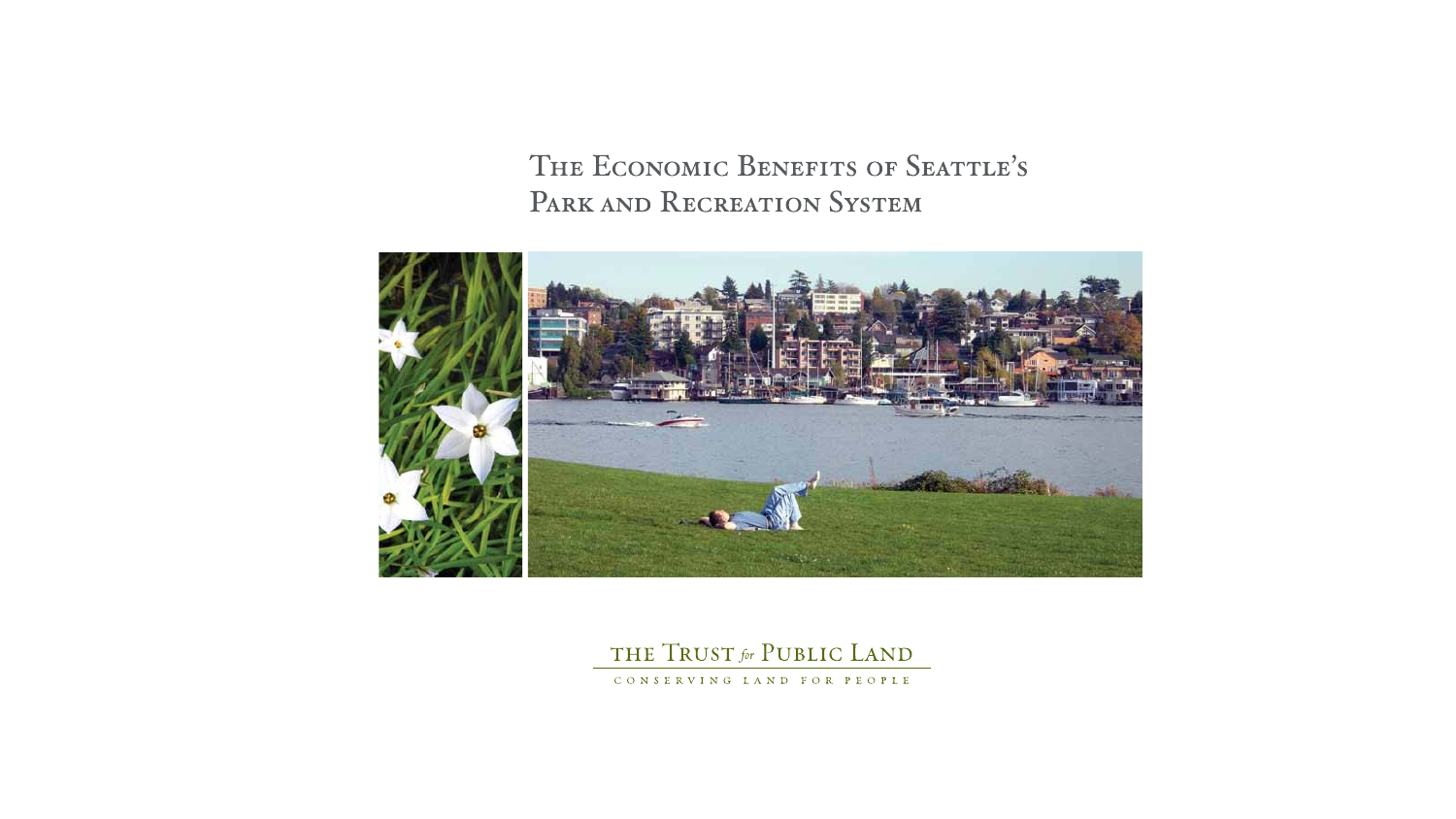#### THE ECONOMIC BENEFITS OF SEATTLE'S PARK AND RECREATION SYSTEM



#### THE TRUST for PUBLIC LAND CONSERVING LAND FOR PEOPLE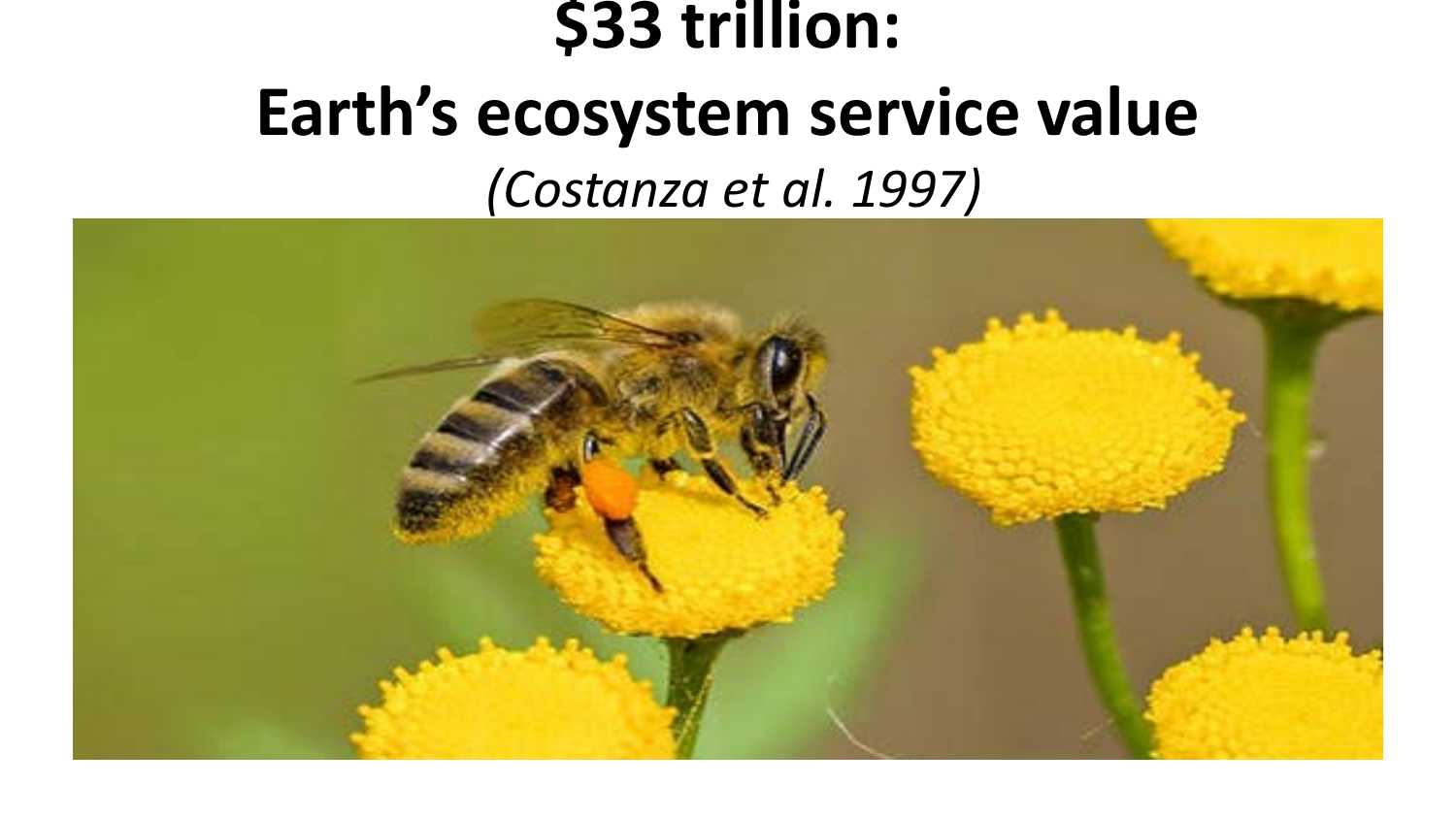## **\$33 trillion: Earth's ecosystem service value** *(Costanza et al. 1997)*

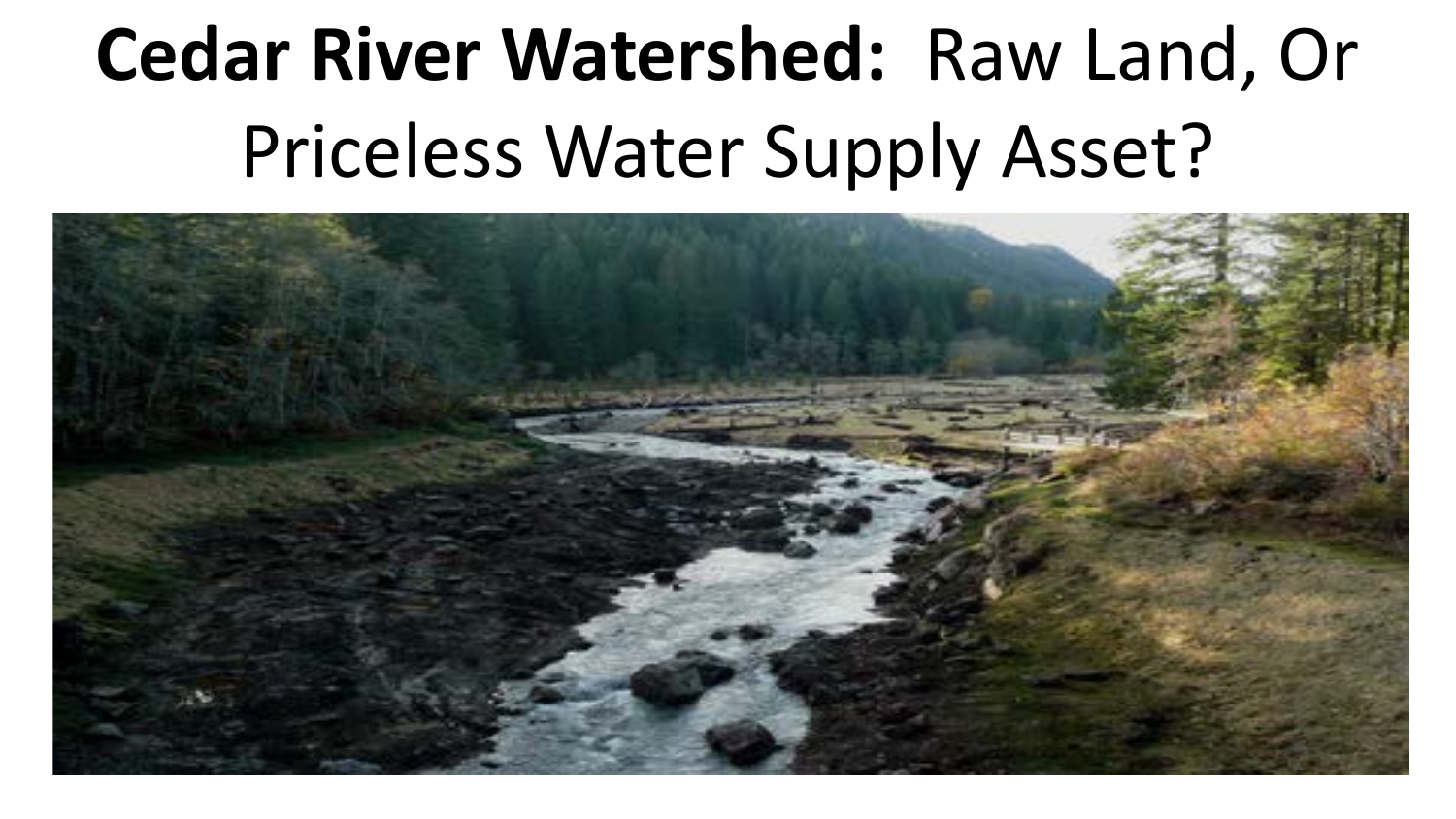# **Cedar River Watershed:** Raw Land, Or Priceless Water Supply Asset?

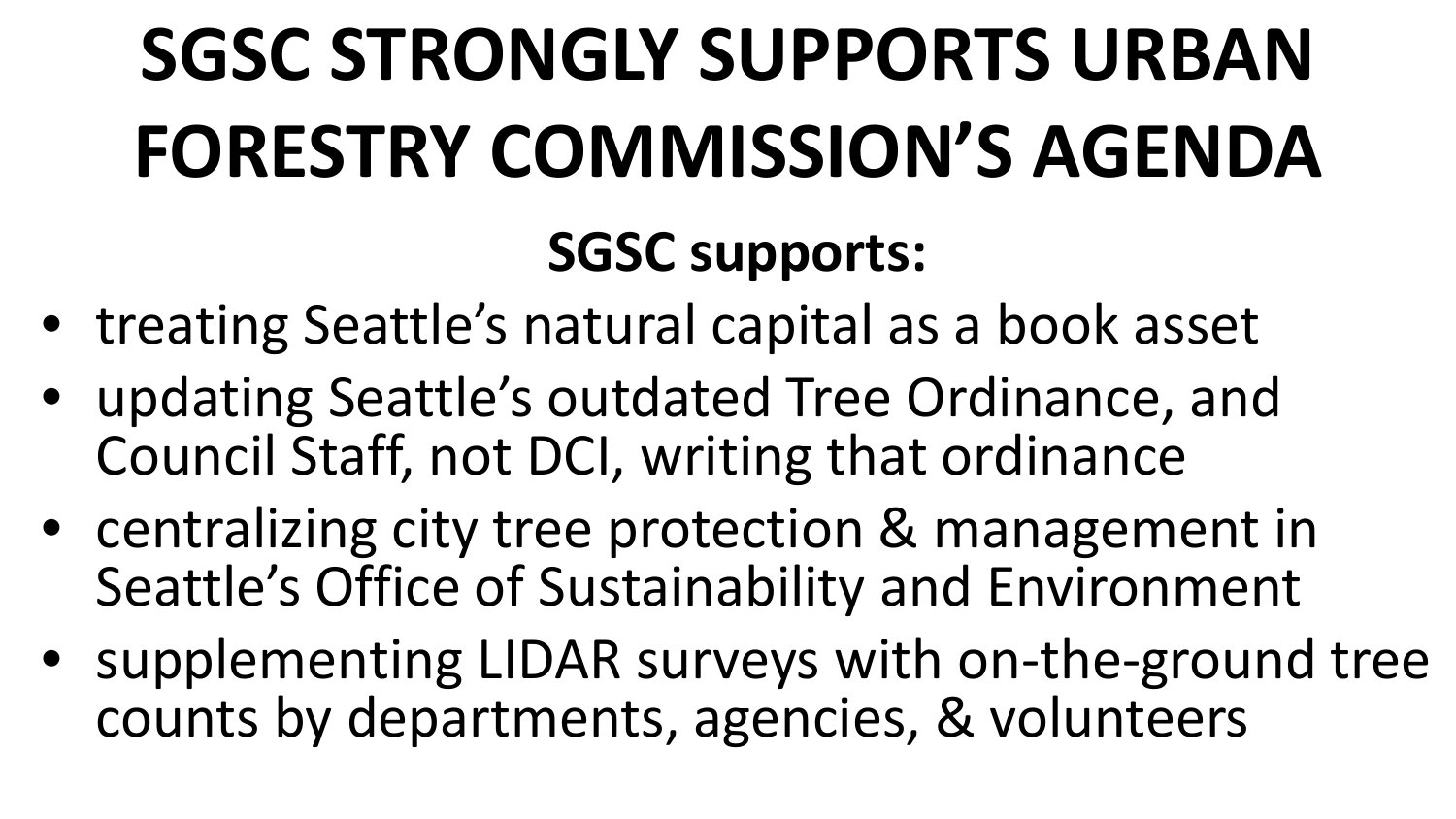# **SGSC STRONGLY SUPPORTS URBAN FORESTRY COMMISSION'S AGENDA**

## **SGSC supports:**

- treating Seattle's natural capital as a book asset
- updating Seattle's outdated Tree Ordinance, and Council Staff, not DCI, writing that ordinance
- centralizing city tree protection & management in Seattle's Office of Sustainability and Environment
- supplementing LIDAR surveys with on-the-ground tree counts by departments, agencies, & volunteers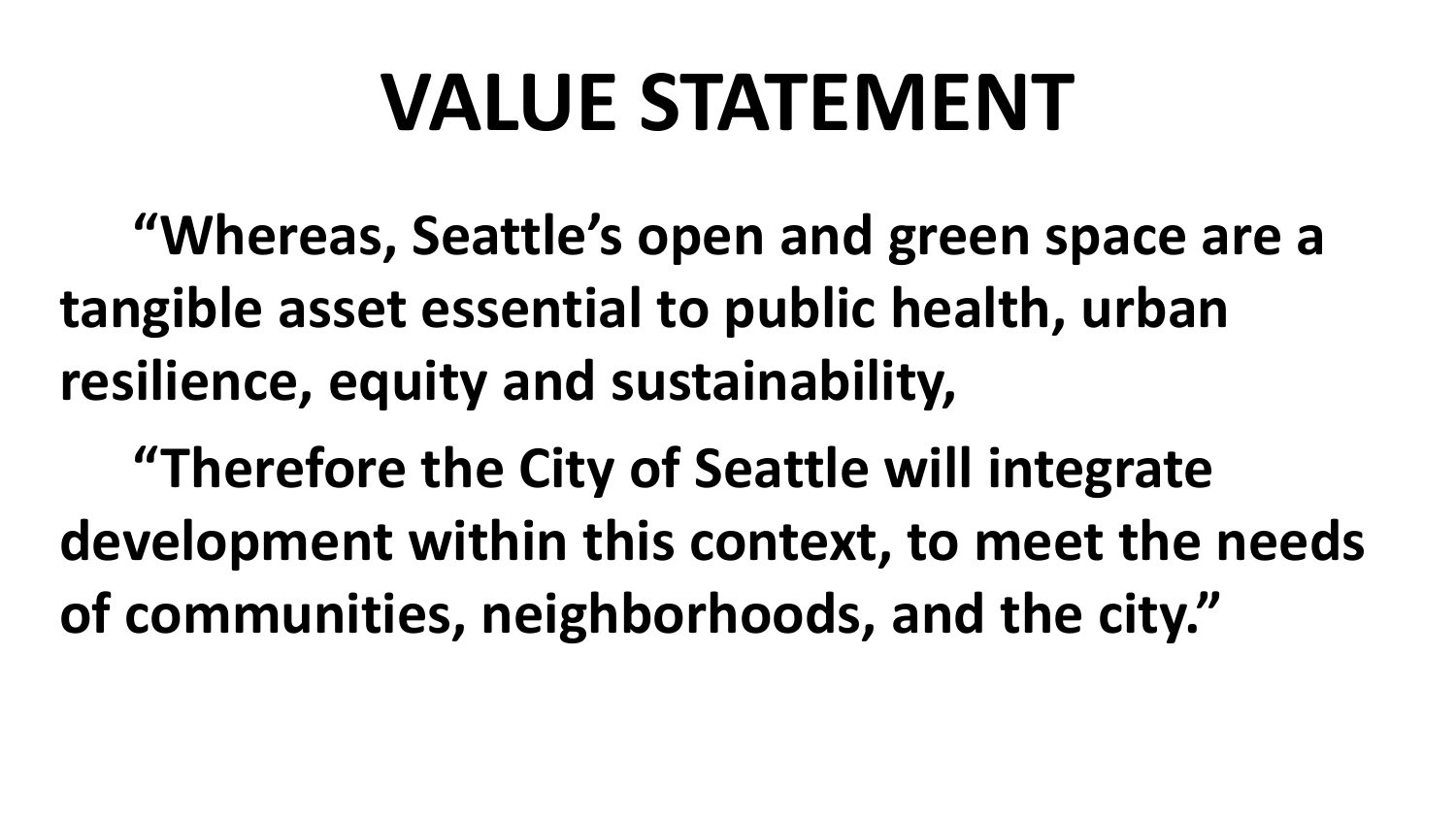# **VALUE STATEMENT**

**"Whereas, Seattle's open and green space are a tangible asset essential to public health, urban resilience, equity and sustainability,** 

**"Therefore the City of Seattle will integrate development within this context, to meet the needs of communities, neighborhoods, and the city."**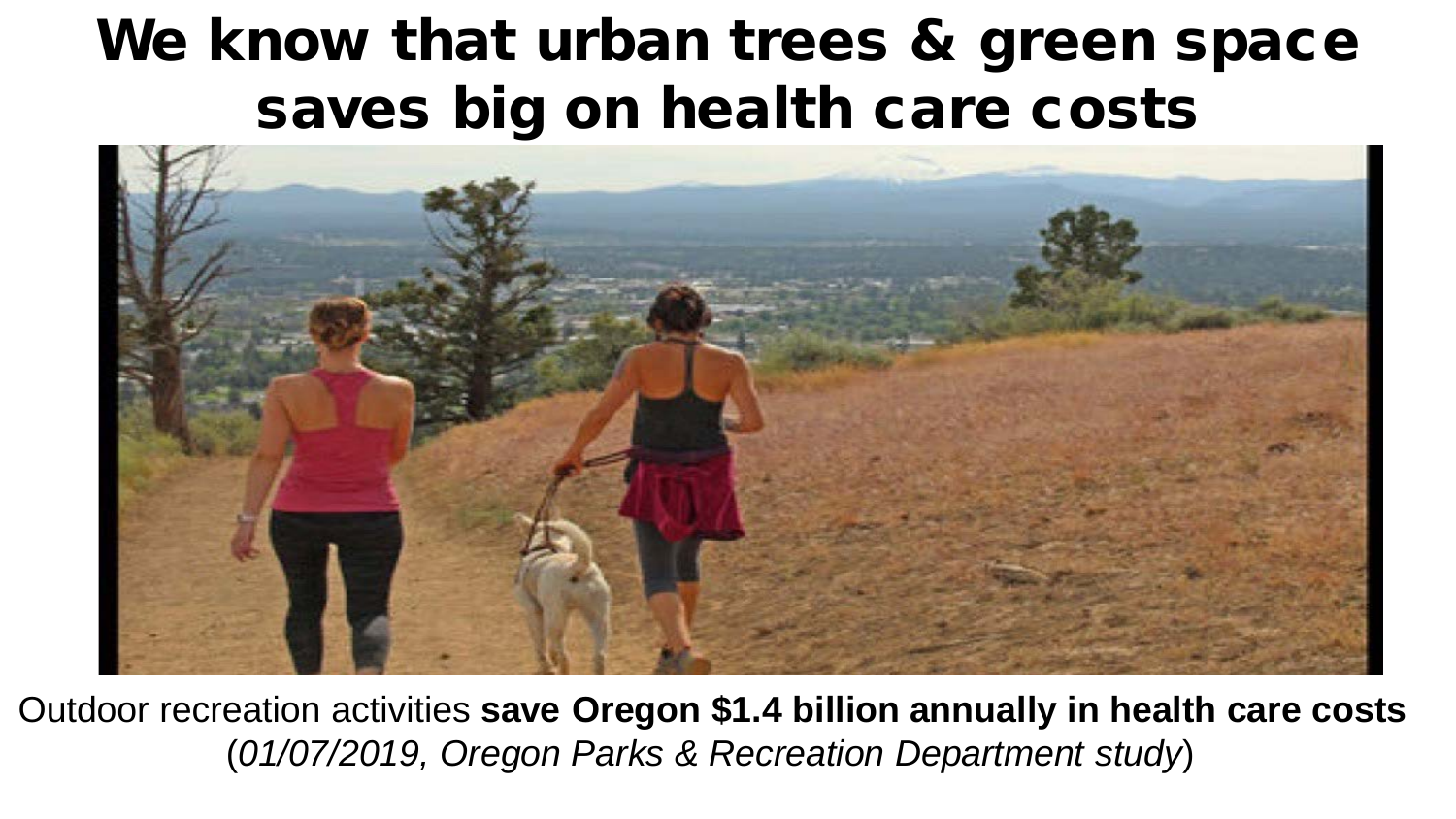#### We know that urban trees & green space saves big on health care costs



Outdoor recreation activities **save Oregon \$1.4 billion annually in health care costs** (*01/07/2019, Oregon Parks & Recreation Department study*)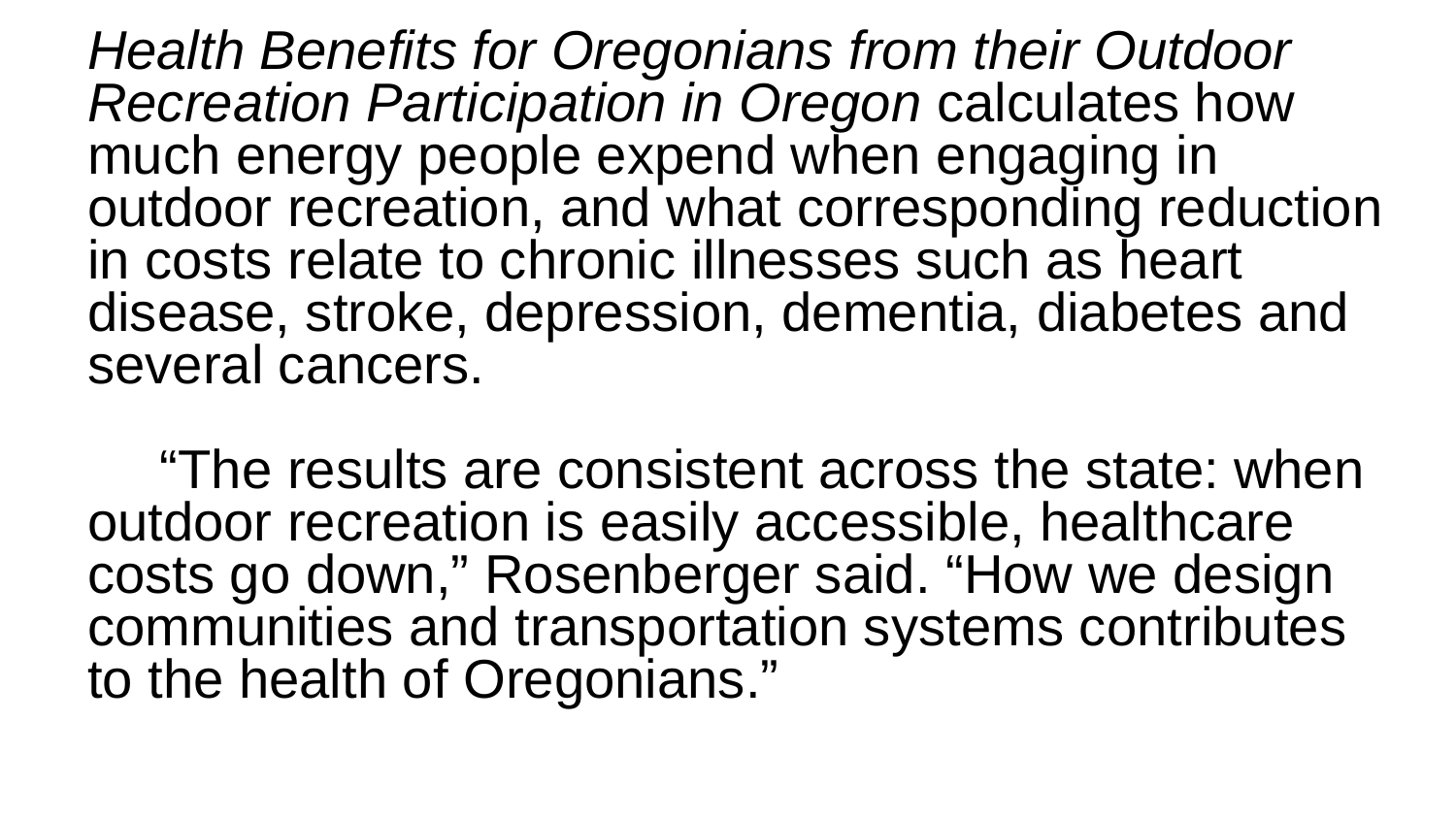*Health Benefits for Oregonians from their Outdoor Recreation Participation in Oregon* calculates how much energy people expend when engaging in outdoor recreation, and what corresponding reduction in costs relate to chronic illnesses such as heart disease, stroke, depression, dementia, diabetes and several cancers.

"The results are consistent across the state: when outdoor recreation is easily accessible, healthcare costs go down," Rosenberger said. "How we design communities and transportation systems contributes to the health of Oregonians."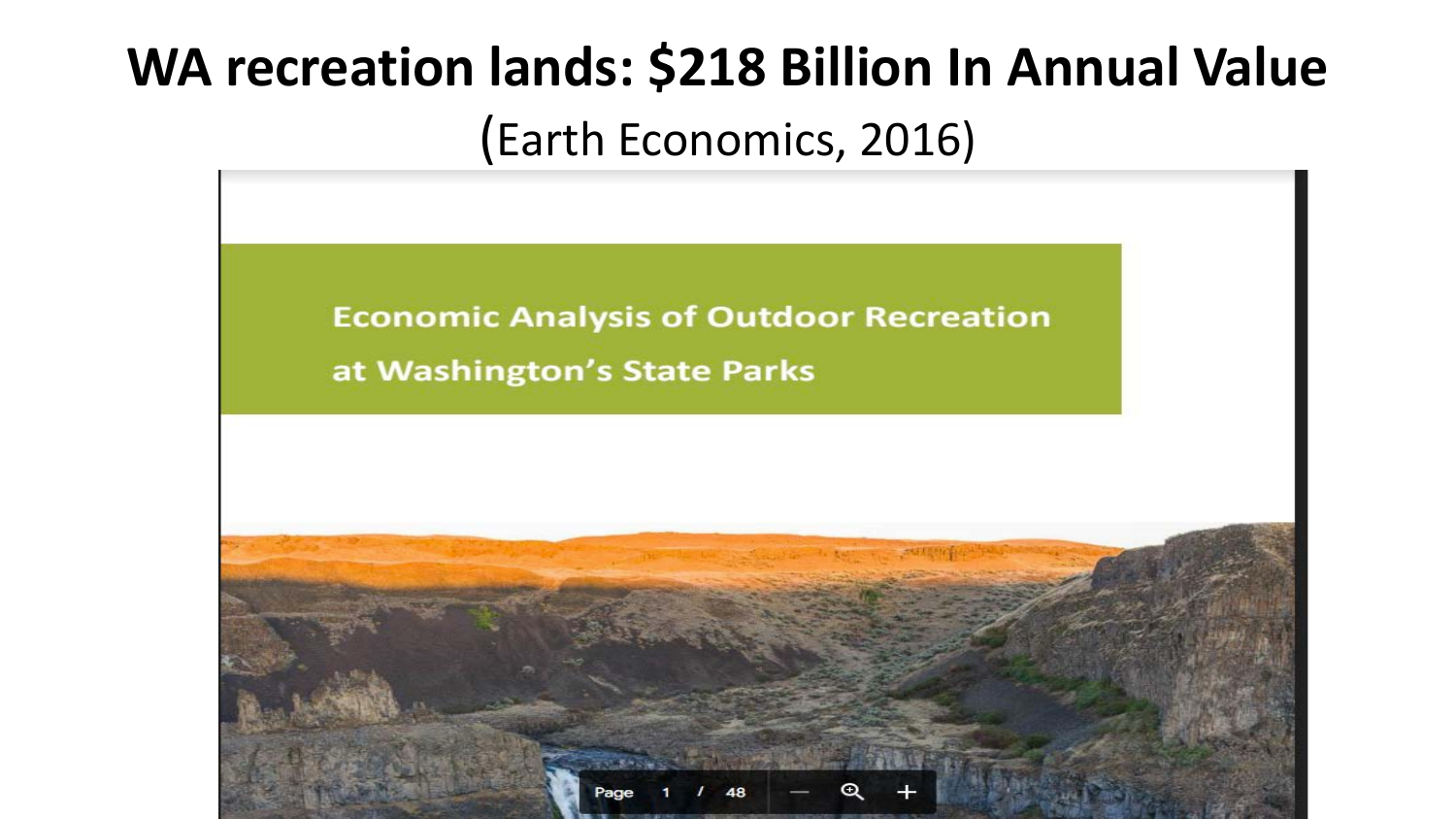## **WA recreation lands: \$218 Billion In Annual Value** (Earth Economics, 2016)

**Economic Analysis of Outdoor Recreation** at Washington's State Parks

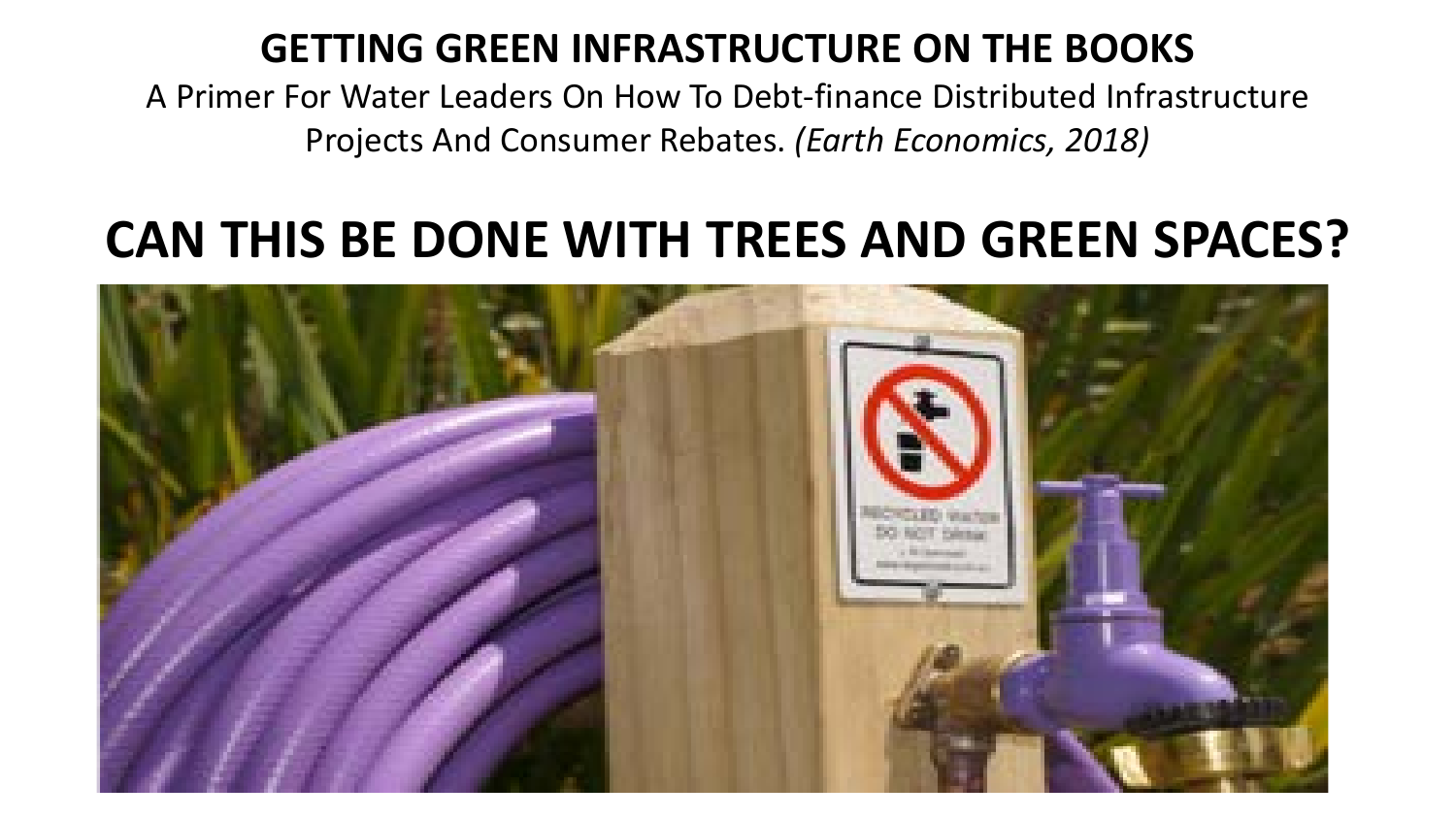#### **GETTING GREEN INFRASTRUCTURE ON THE BOOKS**

A Primer For Water Leaders On How To Debt-finance Distributed Infrastructure Projects And Consumer Rebates. *(Earth Economics, 2018)*

#### **CAN THIS BE DONE WITH TREES AND GREEN SPACES?**